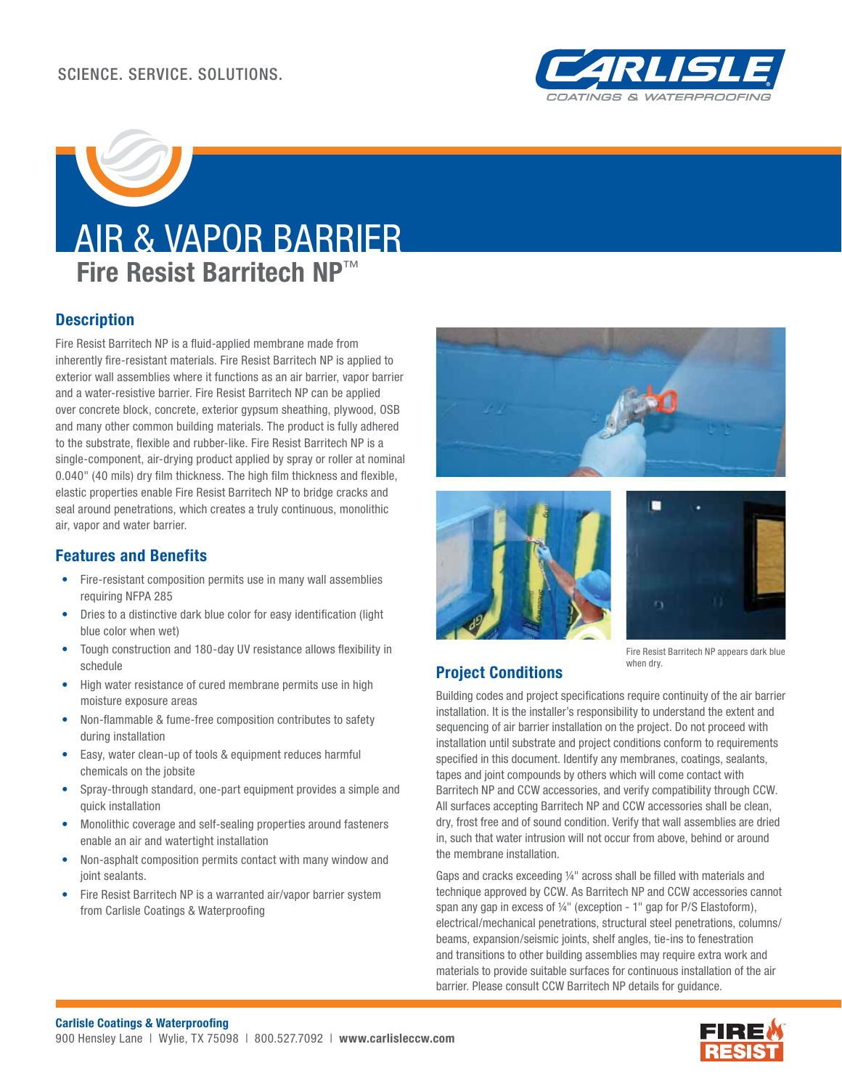

# AIR & VAPOR BARRIER **Fire Resist Barritech NP**™

# **Description**

Fire Resist Barritech NP is a fluid-applied membrane made from inherently fire-resistant materials. Fire Resist Barritech NP is applied to exterior wall assemblies where it functions as an air barrier, vapor barrier and a water-resistive barrier. Fire Resist Barritech NP can be applied over concrete block, concrete, exterior gypsum sheathing, plywood, OSB and many other common building materials. The product is fully adhered to the substrate, flexible and rubber-like. Fire Resist Barritech NP is a single-component, air-drying product applied by spray or roller at nominal 0.040" (40 mils) dry film thickness. The high film thickness and flexible, elastic properties enable Fire Resist Barritech NP to bridge cracks and seal around penetrations, which creates a truly continuous, monolithic air, vapor and water barrier.

# **Features and Benefits**

- Fire-resistant composition permits use in many wall assemblies requiring NFPA 285
- Dries to a distinctive dark blue color for easy identification (light blue color when wet)
- Tough construction and 180-day UV resistance allows flexibility in schedule
- High water resistance of cured membrane permits use in high moisture exposure areas
- Non-flammable & fume-free composition contributes to safety during installation
- Easy, water clean-up of tools & equipment reduces harmful chemicals on the jobsite
- Spray-through standard, one-part equipment provides a simple and quick installation
- Monolithic coverage and self-sealing properties around fasteners enable an air and watertight installation
- Non-asphalt composition permits contact with many window and joint sealants.
- Fire Resist Barritech NP is a warranted air/vapor barrier system from Carlisle Coatings & Waterproofing







#### Fire Resist Barritech NP appears dark blue when dry.

# **Project Conditions**

Building codes and project specifications require continuity of the air barrier installation. It is the installer's responsibility to understand the extent and sequencing of air barrier installation on the project. Do not proceed with installation until substrate and project conditions conform to requirements specified in this document. Identify any membranes, coatings, sealants, tapes and joint compounds by others which will come contact with Barritech NP and CCW accessories, and verify compatibility through CCW. All surfaces accepting Barritech NP and CCW accessories shall be clean, dry, frost free and of sound condition. Verify that wall assemblies are dried in, such that water intrusion will not occur from above, behind or around the membrane installation.

Gaps and cracks exceeding  $1/4$ " across shall be filled with materials and technique approved by CCW. As Barritech NP and CCW accessories cannot span any gap in excess of 1/4" (exception - 1" gap for P/S Elastoform), electrical/mechanical penetrations, structural steel penetrations, columns/ beams, expansion/seismic joints, shelf angles, tie-ins to fenestration and transitions to other building assemblies may require extra work and materials to provide suitable surfaces for continuous installation of the air barrier. Please consult CCW Barritech NP details for guidance.

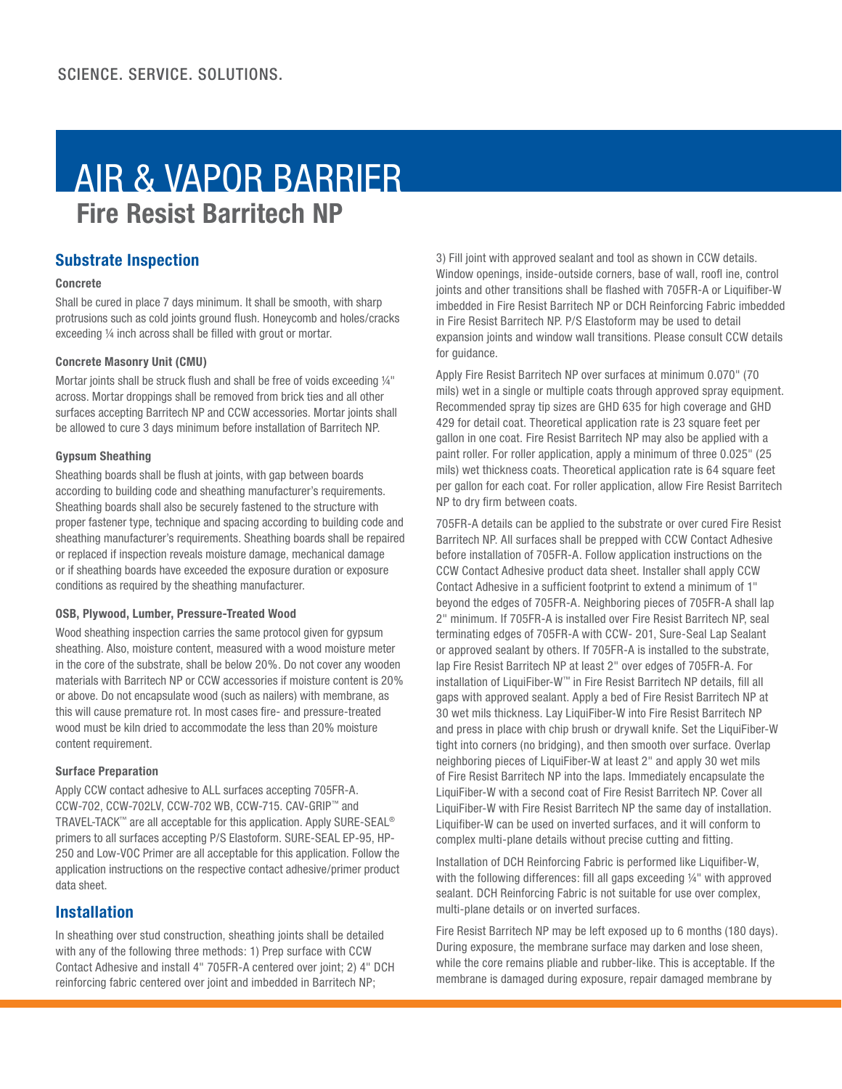# AIR & VAPOR BARRIER **Fire Resist Barritech NP**

# **Substrate Inspection**

#### **Concrete**

Shall be cured in place 7 days minimum. It shall be smooth, with sharp protrusions such as cold joints ground flush. Honeycomb and holes/cracks exceeding  $\frac{1}{4}$  inch across shall be filled with grout or mortar.

#### **Concrete Masonry Unit (CMU)**

Mortar joints shall be struck flush and shall be free of voids exceeding 1/4" across. Mortar droppings shall be removed from brick ties and all other surfaces accepting Barritech NP and CCW accessories. Mortar joints shall be allowed to cure 3 days minimum before installation of Barritech NP.

#### **Gypsum Sheathing**

Sheathing boards shall be flush at joints, with gap between boards according to building code and sheathing manufacturer's requirements. Sheathing boards shall also be securely fastened to the structure with proper fastener type, technique and spacing according to building code and sheathing manufacturer's requirements. Sheathing boards shall be repaired or replaced if inspection reveals moisture damage, mechanical damage or if sheathing boards have exceeded the exposure duration or exposure conditions as required by the sheathing manufacturer.

#### **OSB, Plywood, Lumber, Pressure-Treated Wood**

Wood sheathing inspection carries the same protocol given for gypsum sheathing. Also, moisture content, measured with a wood moisture meter in the core of the substrate, shall be below 20%. Do not cover any wooden materials with Barritech NP or CCW accessories if moisture content is 20% or above. Do not encapsulate wood (such as nailers) with membrane, as this will cause premature rot. In most cases fire- and pressure-treated wood must be kiln dried to accommodate the less than 20% moisture content requirement.

#### **Surface Preparation**

Apply CCW contact adhesive to ALL surfaces accepting 705FR-A. CCW-702, CCW-702LV, CCW-702 WB, CCW-715. CAV-GRIP™ and TRAVEL-TACK™ are all acceptable for this application. Apply SURE-SEAL® primers to all surfaces accepting P/S Elastoform. SURE-SEAL EP-95, HP-250 and Low-VOC Primer are all acceptable for this application. Follow the application instructions on the respective contact adhesive/primer product data sheet.

# **Installation**

In sheathing over stud construction, sheathing joints shall be detailed with any of the following three methods: 1) Prep surface with CCW Contact Adhesive and install 4" 705FR-A centered over joint; 2) 4" DCH reinforcing fabric centered over joint and imbedded in Barritech NP;

3) Fill joint with approved sealant and tool as shown in CCW details. Window openings, inside-outside corners, base of wall, roofl ine, control joints and other transitions shall be flashed with 705FR-A or Liquifiber-W imbedded in Fire Resist Barritech NP or DCH Reinforcing Fabric imbedded in Fire Resist Barritech NP. P/S Elastoform may be used to detail expansion joints and window wall transitions. Please consult CCW details for guidance.

Apply Fire Resist Barritech NP over surfaces at minimum 0.070" (70 mils) wet in a single or multiple coats through approved spray equipment. Recommended spray tip sizes are GHD 635 for high coverage and GHD 429 for detail coat. Theoretical application rate is 23 square feet per gallon in one coat. Fire Resist Barritech NP may also be applied with a paint roller. For roller application, apply a minimum of three 0.025" (25 mils) wet thickness coats. Theoretical application rate is 64 square feet per gallon for each coat. For roller application, allow Fire Resist Barritech NP to dry firm between coats.

705FR-A details can be applied to the substrate or over cured Fire Resist Barritech NP. All surfaces shall be prepped with CCW Contact Adhesive before installation of 705FR-A. Follow application instructions on the CCW Contact Adhesive product data sheet. Installer shall apply CCW Contact Adhesive in a sufficient footprint to extend a minimum of 1" beyond the edges of 705FR-A. Neighboring pieces of 705FR-A shall lap 2" minimum. If 705FR-A is installed over Fire Resist Barritech NP, seal terminating edges of 705FR-A with CCW- 201, Sure-Seal Lap Sealant or approved sealant by others. If 705FR-A is installed to the substrate, lap Fire Resist Barritech NP at least 2" over edges of 705FR-A. For installation of LiquiFiber-W™ in Fire Resist Barritech NP details, fill all gaps with approved sealant. Apply a bed of Fire Resist Barritech NP at 30 wet mils thickness. Lay LiquiFiber-W into Fire Resist Barritech NP and press in place with chip brush or drywall knife. Set the LiquiFiber-W tight into corners (no bridging), and then smooth over surface. Overlap neighboring pieces of LiquiFiber-W at least 2" and apply 30 wet mils of Fire Resist Barritech NP into the laps. Immediately encapsulate the LiquiFiber-W with a second coat of Fire Resist Barritech NP. Cover all LiquiFiber-W with Fire Resist Barritech NP the same day of installation. Liquifiber-W can be used on inverted surfaces, and it will conform to complex multi-plane details without precise cutting and fitting.

Installation of DCH Reinforcing Fabric is performed like Liquifiber-W, with the following differences: fill all gaps exceeding  $1/4"$  with approved sealant. DCH Reinforcing Fabric is not suitable for use over complex, multi-plane details or on inverted surfaces.

Fire Resist Barritech NP may be left exposed up to 6 months (180 days). During exposure, the membrane surface may darken and lose sheen, while the core remains pliable and rubber-like. This is acceptable. If the membrane is damaged during exposure, repair damaged membrane by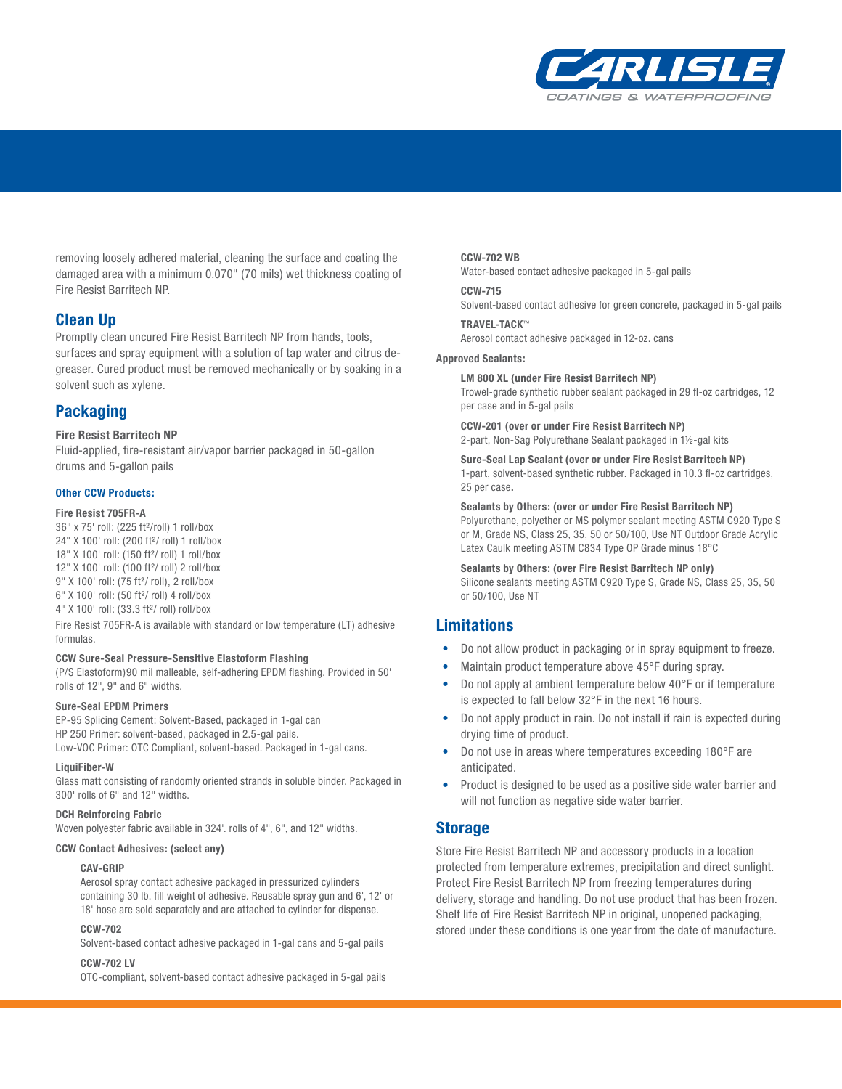

removing loosely adhered material, cleaning the surface and coating the damaged area with a minimum 0.070" (70 mils) wet thickness coating of Fire Resist Barritech NP.

## **Clean Up**

Promptly clean uncured Fire Resist Barritech NP from hands, tools, surfaces and spray equipment with a solution of tap water and citrus degreaser. Cured product must be removed mechanically or by soaking in a solvent such as xylene.

# **Packaging**

#### **Fire Resist Barritech NP**

Fluid-applied, fire-resistant air/vapor barrier packaged in 50-gallon drums and 5-gallon pails

#### **Other CCW Products:**

#### **Fire Resist 705FR-A**

36" x 75' roll: (225 ft²/roll) 1 roll/box 24" X 100' roll: (200 ft²/ roll) 1 roll/box 18" X 100' roll: (150 ft²/ roll) 1 roll/box 12" X 100' roll: (100 ft²/ roll) 2 roll/box 9" X 100' roll: (75 ft²/ roll), 2 roll/box 6" X 100' roll: (50 ft²/ roll) 4 roll/box 4" X 100' roll: (33.3 ft²/ roll) roll/box

Fire Resist 705FR-A is available with standard or low temperature (LT) adhesive formulas.

#### **CCW Sure-Seal Pressure-Sensitive Elastoform Flashing**

(P/S Elastoform)90 mil malleable, self-adhering EPDM flashing. Provided in 50' rolls of 12", 9" and 6" widths.

#### **Sure-Seal EPDM Primers**

EP-95 Splicing Cement: Solvent-Based, packaged in 1-gal can HP 250 Primer: solvent-based, packaged in 2.5-gal pails. Low-VOC Primer: OTC Compliant, solvent-based. Packaged in 1-gal cans.

#### **LiquiFiber-W**

Glass matt consisting of randomly oriented strands in soluble binder. Packaged in 300' rolls of 6" and 12" widths.

#### **DCH Reinforcing Fabric**

Woven polyester fabric available in 324'. rolls of 4", 6", and 12" widths.

#### **CCW Contact Adhesives: (select any)**

#### **CAV-GRIP**

Aerosol spray contact adhesive packaged in pressurized cylinders containing 30 lb. fill weight of adhesive. Reusable spray gun and 6', 12' or 18' hose are sold separately and are attached to cylinder for dispense.

#### **CCW-702**

Solvent-based contact adhesive packaged in 1-gal cans and 5-gal pails

#### **CCW-702 LV**

OTC-compliant, solvent-based contact adhesive packaged in 5-gal pails

#### **CCW-702 WB**

Water-based contact adhesive packaged in 5-gal pails

#### **CCW-715**

Solvent-based contact adhesive for green concrete, packaged in 5-gal pails

# **TRAVEL-TACK**™

Aerosol contact adhesive packaged in 12-oz. cans

#### **Approved Sealants:**

**LM 800 XL (under Fire Resist Barritech NP)** Trowel-grade synthetic rubber sealant packaged in 29 fl-oz cartridges, 12 per case and in 5-gal pails

#### **CCW-201 (over or under Fire Resist Barritech NP)**

2-part, Non-Sag Polyurethane Sealant packaged in 1½-gal kits

**Sure-Seal Lap Sealant (over or under Fire Resist Barritech NP)** 1-part, solvent-based synthetic rubber. Packaged in 10.3 fl -oz cartridges, 25 per case**.**

**Sealants by Others: (over or under Fire Resist Barritech NP)** Polyurethane, polyether or MS polymer sealant meeting ASTM C920 Type S or M, Grade NS, Class 25, 35, 50 or 50/100, Use NT Outdoor Grade Acrylic Latex Caulk meeting ASTM C834 Type OP Grade minus 18°C

**Sealants by Others: (over Fire Resist Barritech NP only)** Silicone sealants meeting ASTM C920 Type S, Grade NS, Class 25, 35, 50 or 50/100, Use NT

# **Limitations**

- Do not allow product in packaging or in spray equipment to freeze.
- Maintain product temperature above 45°F during spray.
- Do not apply at ambient temperature below 40°F or if temperature is expected to fall below 32°F in the next 16 hours.
- Do not apply product in rain. Do not install if rain is expected during drying time of product.
- Do not use in areas where temperatures exceeding 180°F are anticipated.
- Product is designed to be used as a positive side water barrier and will not function as negative side water barrier.

## **Storage**

Store Fire Resist Barritech NP and accessory products in a location protected from temperature extremes, precipitation and direct sunlight. Protect Fire Resist Barritech NP from freezing temperatures during delivery, storage and handling. Do not use product that has been frozen. Shelf life of Fire Resist Barritech NP in original, unopened packaging, stored under these conditions is one year from the date of manufacture.